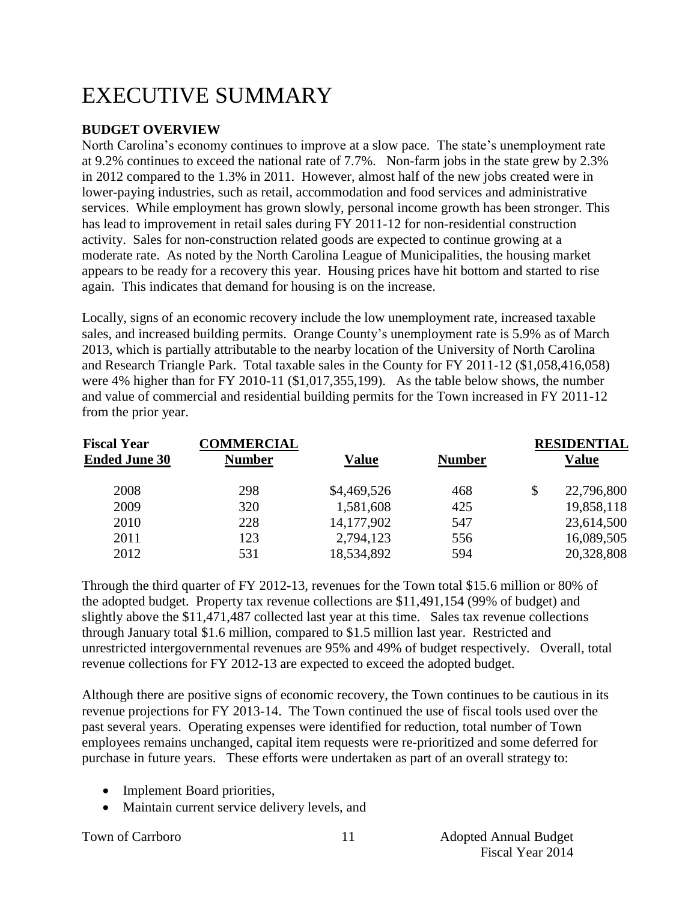# EXECUTIVE SUMMARY

# **BUDGET OVERVIEW**

North Carolina's economy continues to improve at a slow pace. The state's unemployment rate at 9.2% continues to exceed the national rate of 7.7%. Non-farm jobs in the state grew by 2.3% in 2012 compared to the 1.3% in 2011. However, almost half of the new jobs created were in lower-paying industries, such as retail, accommodation and food services and administrative services. While employment has grown slowly, personal income growth has been stronger. This has lead to improvement in retail sales during FY 2011-12 for non-residential construction activity. Sales for non-construction related goods are expected to continue growing at a moderate rate. As noted by the North Carolina League of Municipalities, the housing market appears to be ready for a recovery this year. Housing prices have hit bottom and started to rise again. This indicates that demand for housing is on the increase.

Locally, signs of an economic recovery include the low unemployment rate, increased taxable sales, and increased building permits. Orange County's unemployment rate is 5.9% as of March 2013, which is partially attributable to the nearby location of the University of North Carolina and Research Triangle Park. Total taxable sales in the County for FY 2011-12 (\$1,058,416,058) were 4% higher than for FY 2010-11 (\$1,017,355,199). As the table below shows, the number and value of commercial and residential building permits for the Town increased in FY 2011-12 from the prior year.

| <b>Fiscal Year</b>   | <b>COMMERCIAL</b> |              |               | <b>RESIDENTIAL</b> |
|----------------------|-------------------|--------------|---------------|--------------------|
| <b>Ended June 30</b> | <b>Number</b>     | <b>Value</b> | <b>Number</b> | Value              |
| 2008                 | 298               | \$4,469,526  | 468           | \$<br>22,796,800   |
| 2009                 | 320               | 1,581,608    | 425           | 19,858,118         |
| 2010                 | 228               | 14, 177, 902 | 547           | 23,614,500         |
| 2011                 | 123               | 2,794,123    | 556           | 16,089,505         |
| 2012                 | 531               | 18,534,892   | 594           | 20,328,808         |

Through the third quarter of FY 2012-13, revenues for the Town total \$15.6 million or 80% of the adopted budget. Property tax revenue collections are \$11,491,154 (99% of budget) and slightly above the \$11,471,487 collected last year at this time. Sales tax revenue collections through January total \$1.6 million, compared to \$1.5 million last year. Restricted and unrestricted intergovernmental revenues are 95% and 49% of budget respectively. Overall, total revenue collections for FY 2012-13 are expected to exceed the adopted budget.

Although there are positive signs of economic recovery, the Town continues to be cautious in its revenue projections for FY 2013-14. The Town continued the use of fiscal tools used over the past several years. Operating expenses were identified for reduction, total number of Town employees remains unchanged, capital item requests were re-prioritized and some deferred for purchase in future years. These efforts were undertaken as part of an overall strategy to:

- Implement Board priorities,
- Maintain current service delivery levels, and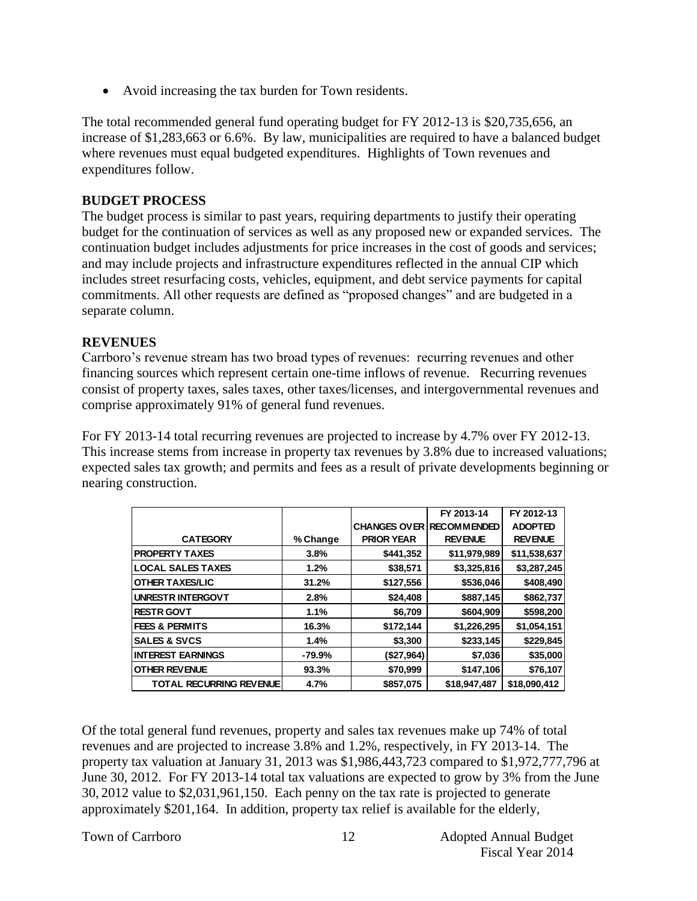Avoid increasing the tax burden for Town residents.

The total recommended general fund operating budget for FY 2012-13 is \$20,735,656, an increase of \$1,283,663 or 6.6%. By law, municipalities are required to have a balanced budget where revenues must equal budgeted expenditures. Highlights of Town revenues and expenditures follow.

#### **BUDGET PROCESS**

The budget process is similar to past years, requiring departments to justify their operating budget for the continuation of services as well as any proposed new or expanded services. The continuation budget includes adjustments for price increases in the cost of goods and services; and may include projects and infrastructure expenditures reflected in the annual CIP which includes street resurfacing costs, vehicles, equipment, and debt service payments for capital commitments. All other requests are defined as "proposed changes" and are budgeted in a separate column.

#### **REVENUES**

Carrboro's revenue stream has two broad types of revenues: recurring revenues and other financing sources which represent certain one-time inflows of revenue. Recurring revenues consist of property taxes, sales taxes, other taxes/licenses, and intergovernmental revenues and comprise approximately 91% of general fund revenues.

For FY 2013-14 total recurring revenues are projected to increase by 4.7% over FY 2012-13. This increase stems from increase in property tax revenues by 3.8% due to increased valuations; expected sales tax growth; and permits and fees as a result of private developments beginning or nearing construction.

|                                |          |                                 | FY 2013-14     | FY 2012-13     |
|--------------------------------|----------|---------------------------------|----------------|----------------|
|                                |          | <b>CHANGES OVER RECOMMENDED</b> |                | <b>ADOPTED</b> |
| <b>CATEGORY</b>                | % Change | <b>PRIOR YEAR</b>               | <b>REVENUE</b> | <b>REVENUE</b> |
| <b>PROPERTY TAXES</b>          | 3.8%     | \$441,352                       | \$11,979,989   | \$11,538,637   |
| <b>LOCAL SALES TAXES</b>       | 1.2%     | \$38,571                        | \$3,325,816    | \$3,287,245    |
| <b>OTHER TAXES/LIC</b>         | 31.2%    | \$127,556                       | \$536,046      | \$408,490      |
| <b>UNRESTR INTERGOVT</b>       | 2.8%     | \$24,408                        | \$887,145      | \$862,737      |
| <b>RESTR GOVT</b>              | 1.1%     | \$6,709                         | \$604,909      | \$598,200      |
| <b>FEES &amp; PERMITS</b>      | 16.3%    | \$172,144                       | \$1,226,295    | \$1,054,151    |
| <b>SALES &amp; SVCS</b>        | 1.4%     | \$3,300                         | \$233,145      | \$229,845      |
| <b>INTEREST EARNINGS</b>       | -79.9%   | (\$27,964)                      | \$7,036        | \$35,000       |
| <b>OTHER REVENUE</b>           | 93.3%    | \$70,999                        | \$147,106      | \$76,107       |
| <b>TOTAL RECURRING REVENUE</b> | 4.7%     | \$857,075                       | \$18,947,487   | \$18,090,412   |

Of the total general fund revenues, property and sales tax revenues make up 74% of total revenues and are projected to increase 3.8% and 1.2%, respectively, in FY 2013-14. The property tax valuation at January 31, 2013 was \$1,986,443,723 compared to \$1,972,777,796 at June 30, 2012. For FY 2013-14 total tax valuations are expected to grow by 3% from the June 30, 2012 value to \$2,031,961,150. Each penny on the tax rate is projected to generate approximately \$201,164. In addition, property tax relief is available for the elderly,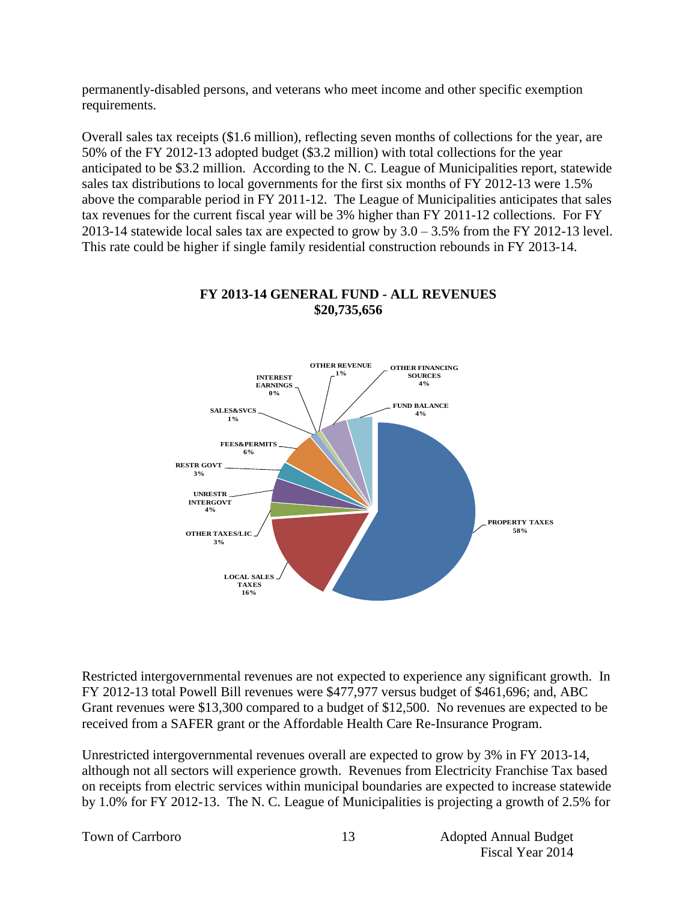permanently-disabled persons, and veterans who meet income and other specific exemption requirements.

Overall sales tax receipts (\$1.6 million), reflecting seven months of collections for the year, are 50% of the FY 2012-13 adopted budget (\$3.2 million) with total collections for the year anticipated to be \$3.2 million. According to the N. C. League of Municipalities report, statewide sales tax distributions to local governments for the first six months of FY 2012-13 were 1.5% above the comparable period in FY 2011-12. The League of Municipalities anticipates that sales tax revenues for the current fiscal year will be 3% higher than FY 2011-12 collections. For FY 2013-14 statewide local sales tax are expected to grow by 3.0 – 3.5% from the FY 2012-13 level. This rate could be higher if single family residential construction rebounds in FY 2013-14.



#### **FY 2013-14 GENERAL FUND - ALL REVENUES \$20,735,656**

Restricted intergovernmental revenues are not expected to experience any significant growth. In FY 2012-13 total Powell Bill revenues were \$477,977 versus budget of \$461,696; and, ABC Grant revenues were \$13,300 compared to a budget of \$12,500. No revenues are expected to be received from a SAFER grant or the Affordable Health Care Re-Insurance Program.

Unrestricted intergovernmental revenues overall are expected to grow by 3% in FY 2013-14, although not all sectors will experience growth. Revenues from Electricity Franchise Tax based on receipts from electric services within municipal boundaries are expected to increase statewide by 1.0% for FY 2012-13. The N. C. League of Municipalities is projecting a growth of 2.5% for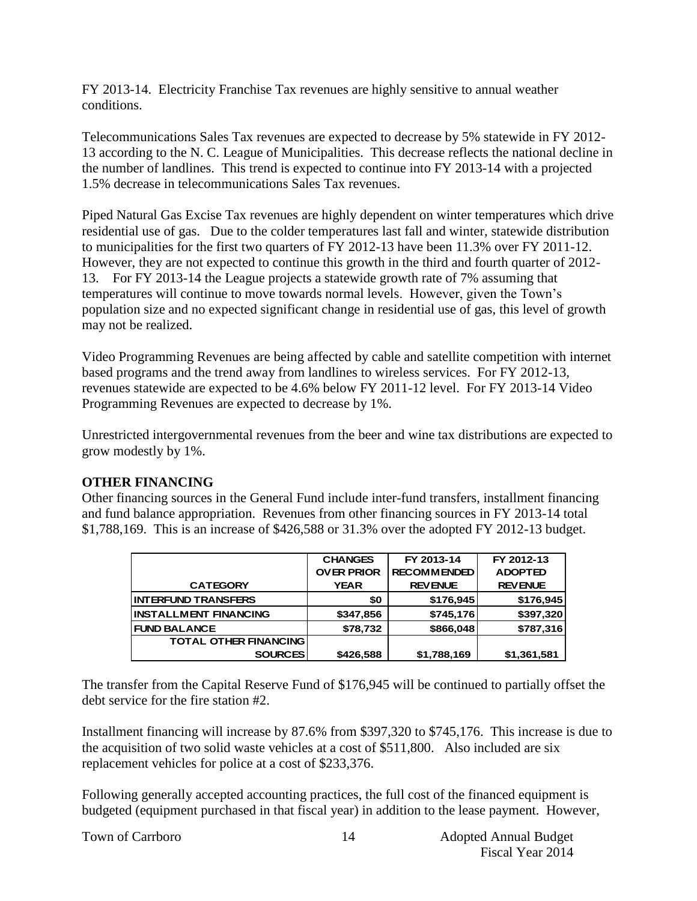FY 2013-14. Electricity Franchise Tax revenues are highly sensitive to annual weather conditions.

Telecommunications Sales Tax revenues are expected to decrease by 5% statewide in FY 2012- 13 according to the N. C. League of Municipalities. This decrease reflects the national decline in the number of landlines. This trend is expected to continue into FY 2013-14 with a projected 1.5% decrease in telecommunications Sales Tax revenues.

Piped Natural Gas Excise Tax revenues are highly dependent on winter temperatures which drive residential use of gas. Due to the colder temperatures last fall and winter, statewide distribution to municipalities for the first two quarters of FY 2012-13 have been 11.3% over FY 2011-12. However, they are not expected to continue this growth in the third and fourth quarter of 2012- 13. For FY 2013-14 the League projects a statewide growth rate of 7% assuming that temperatures will continue to move towards normal levels. However, given the Town's population size and no expected significant change in residential use of gas, this level of growth may not be realized.

Video Programming Revenues are being affected by cable and satellite competition with internet based programs and the trend away from landlines to wireless services. For FY 2012-13, revenues statewide are expected to be 4.6% below FY 2011-12 level. For FY 2013-14 Video Programming Revenues are expected to decrease by 1%.

Unrestricted intergovernmental revenues from the beer and wine tax distributions are expected to grow modestly by 1%.

#### **OTHER FINANCING**

Other financing sources in the General Fund include inter-fund transfers, installment financing and fund balance appropriation. Revenues from other financing sources in FY 2013-14 total \$1,788,169. This is an increase of \$426,588 or 31.3% over the adopted FY 2012-13 budget.

|                              | <b>CHANGES</b>    | FY 2013-14         | FY 2012-13     |
|------------------------------|-------------------|--------------------|----------------|
|                              | <b>OVER PRIOR</b> | <b>RECOMMENDED</b> | <b>ADOPTED</b> |
| <b>CATEGORY</b>              | <b>YEAR</b>       | <b>REVENUE</b>     | <b>REVENUE</b> |
| <b>INTERFUND TRANSFERS</b>   | \$0               | \$176,945          | \$176,945      |
| <b>INSTALLMENT FINANCING</b> | \$347,856         | \$745,176          | \$397,320      |
| <b>FUND BALANCE</b>          | \$78,732          | \$866,048          | \$787,316      |
| <b>TOTAL OTHER FINANCING</b> |                   |                    |                |
| <b>SOURCES</b>               | \$426,588         | \$1,788,169        | \$1,361,581    |

The transfer from the Capital Reserve Fund of \$176,945 will be continued to partially offset the debt service for the fire station #2.

Installment financing will increase by 87.6% from \$397,320 to \$745,176. This increase is due to the acquisition of two solid waste vehicles at a cost of \$511,800. Also included are six replacement vehicles for police at a cost of \$233,376.

Following generally accepted accounting practices, the full cost of the financed equipment is budgeted (equipment purchased in that fiscal year) in addition to the lease payment. However,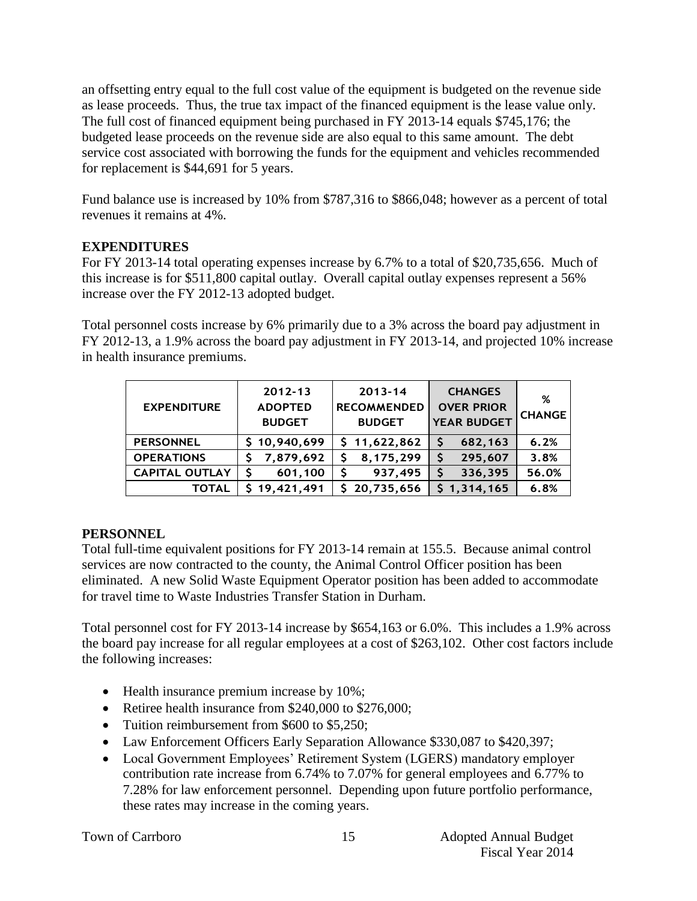an offsetting entry equal to the full cost value of the equipment is budgeted on the revenue side as lease proceeds. Thus, the true tax impact of the financed equipment is the lease value only. The full cost of financed equipment being purchased in FY 2013-14 equals \$745,176; the budgeted lease proceeds on the revenue side are also equal to this same amount. The debt service cost associated with borrowing the funds for the equipment and vehicles recommended for replacement is \$44,691 for 5 years.

Fund balance use is increased by 10% from \$787,316 to \$866,048; however as a percent of total revenues it remains at 4%.

# **EXPENDITURES**

For FY 2013-14 total operating expenses increase by 6.7% to a total of \$20,735,656. Much of this increase is for \$511,800 capital outlay. Overall capital outlay expenses represent a 56% increase over the FY 2012-13 adopted budget.

Total personnel costs increase by 6% primarily due to a 3% across the board pay adjustment in FY 2012-13, a 1.9% across the board pay adjustment in FY 2013-14, and projected 10% increase in health insurance premiums.

| <b>EXPENDITURE</b>    | $2012 - 13$<br><b>ADOPTED</b><br><b>BUDGET</b> | $2013 - 14$<br><b>RECOMMENDED</b><br><b>BUDGET</b> | <b>CHANGES</b><br><b>OVER PRIOR</b><br><b>YEAR BUDGET</b> | %<br><b>CHANGE</b> |
|-----------------------|------------------------------------------------|----------------------------------------------------|-----------------------------------------------------------|--------------------|
| <b>PERSONNEL</b>      | \$10,940,699                                   | \$11,622,862                                       | 682,163                                                   | 6.2%               |
| <b>OPERATIONS</b>     | 7,879,692                                      | 8,175,299                                          | 295,607                                                   | 3.8%               |
| <b>CAPITAL OUTLAY</b> | S<br>601,100                                   | 937,495<br>S                                       | 336,395                                                   | 56.0%              |
| <b>TOTAL</b>          | \$19,421,491                                   | \$20,735,656                                       | \$1,314,165                                               | 6.8%               |

# **PERSONNEL**

Total full-time equivalent positions for FY 2013-14 remain at 155.5. Because animal control services are now contracted to the county, the Animal Control Officer position has been eliminated. A new Solid Waste Equipment Operator position has been added to accommodate for travel time to Waste Industries Transfer Station in Durham.

Total personnel cost for FY 2013-14 increase by \$654,163 or 6.0%. This includes a 1.9% across the board pay increase for all regular employees at a cost of \$263,102. Other cost factors include the following increases:

- Health insurance premium increase by 10%;
- Retiree health insurance from \$240,000 to \$276,000;
- Tuition reimbursement from \$600 to \$5,250;
- Law Enforcement Officers Early Separation Allowance \$330,087 to \$420,397;
- Local Government Employees' Retirement System (LGERS) mandatory employer contribution rate increase from 6.74% to 7.07% for general employees and 6.77% to 7.28% for law enforcement personnel. Depending upon future portfolio performance, these rates may increase in the coming years.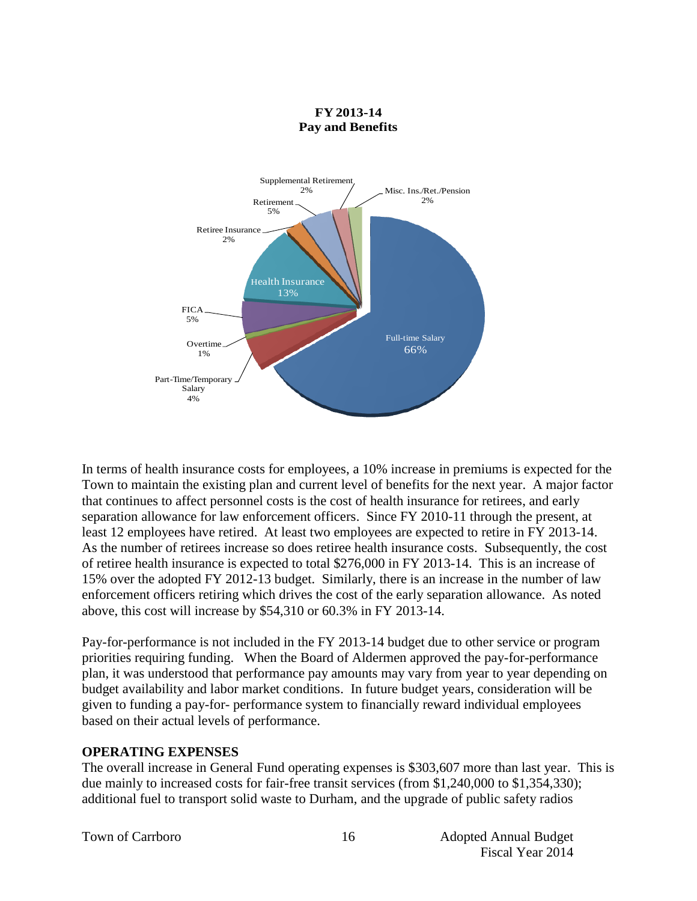

In terms of health insurance costs for employees, a 10% increase in premiums is expected for the Town to maintain the existing plan and current level of benefits for the next year. A major factor that continues to affect personnel costs is the cost of health insurance for retirees, and early separation allowance for law enforcement officers. Since FY 2010-11 through the present, at least 12 employees have retired. At least two employees are expected to retire in FY 2013-14. As the number of retirees increase so does retiree health insurance costs. Subsequently, the cost of retiree health insurance is expected to total \$276,000 in FY 2013-14. This is an increase of 15% over the adopted FY 2012-13 budget. Similarly, there is an increase in the number of law enforcement officers retiring which drives the cost of the early separation allowance. As noted above, this cost will increase by \$54,310 or 60.3% in FY 2013-14.

Pay-for-performance is not included in the FY 2013-14 budget due to other service or program priorities requiring funding. When the Board of Aldermen approved the pay-for-performance plan, it was understood that performance pay amounts may vary from year to year depending on budget availability and labor market conditions. In future budget years, consideration will be given to funding a pay-for- performance system to financially reward individual employees based on their actual levels of performance.

#### **OPERATING EXPENSES**

The overall increase in General Fund operating expenses is \$303,607 more than last year. This is due mainly to increased costs for fair-free transit services (from \$1,240,000 to \$1,354,330); additional fuel to transport solid waste to Durham, and the upgrade of public safety radios

Town of Carrboro 16 and 16 Adopted Annual Budget Fiscal Year 2014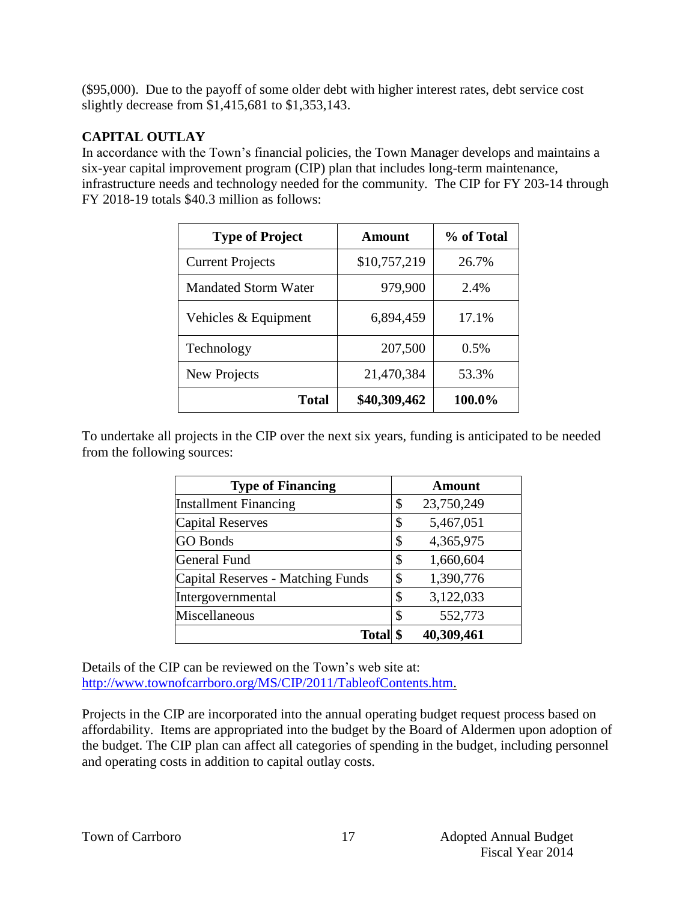(\$95,000). Due to the payoff of some older debt with higher interest rates, debt service cost slightly decrease from \$1,415,681 to \$1,353,143.

#### **CAPITAL OUTLAY**

In accordance with the Town's financial policies, the Town Manager develops and maintains a six-year capital improvement program (CIP) plan that includes long-term maintenance, infrastructure needs and technology needed for the community. The CIP for FY 203-14 through FY 2018-19 totals \$40.3 million as follows:

| <b>Type of Project</b>      | Amount       | % of Total |
|-----------------------------|--------------|------------|
| <b>Current Projects</b>     | \$10,757,219 | 26.7%      |
| <b>Mandated Storm Water</b> | 979,900      | 2.4%       |
| Vehicles & Equipment        | 6,894,459    | 17.1%      |
| Technology                  | 207,500      | 0.5%       |
| New Projects                | 21,470,384   | 53.3%      |
| <b>Total</b>                | \$40,309,462 | 100.0%     |

To undertake all projects in the CIP over the next six years, funding is anticipated to be needed from the following sources:

| <b>Type of Financing</b>          | Amount           |
|-----------------------------------|------------------|
| <b>Installment Financing</b>      | \$<br>23,750,249 |
| <b>Capital Reserves</b>           | \$<br>5,467,051  |
| <b>GO</b> Bonds                   | \$<br>4,365,975  |
| General Fund                      | \$<br>1,660,604  |
| Capital Reserves - Matching Funds | \$<br>1,390,776  |
| Intergovernmental                 | \$<br>3,122,033  |
| Miscellaneous                     | \$<br>552,773    |
| <b>Total</b>                      | 40,309,461       |

Details of the CIP can be reviewed on the Town's web site at: [http://www.townofcarrboro.org/MS/CIP/2011/TableofContents.htm.](http://www.townofcarrboro.org/MS/CIP/2011/TableofContents.htm)

Projects in the CIP are incorporated into the annual operating budget request process based on affordability. Items are appropriated into the budget by the Board of Aldermen upon adoption of the budget. The CIP plan can affect all categories of spending in the budget, including personnel and operating costs in addition to capital outlay costs.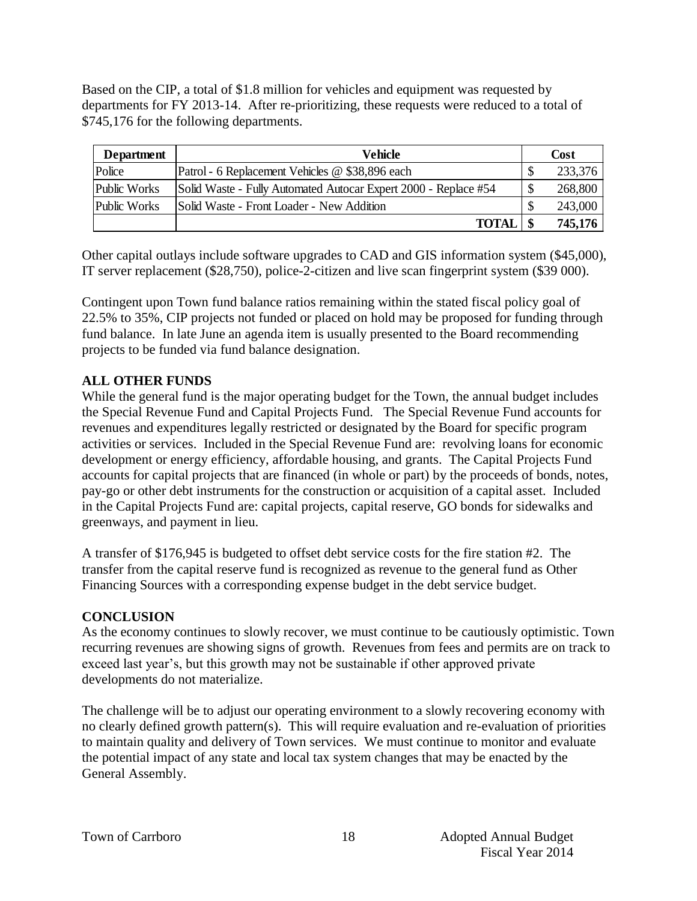Based on the CIP, a total of \$1.8 million for vehicles and equipment was requested by departments for FY 2013-14. After re-prioritizing, these requests were reduced to a total of \$745,176 for the following departments.

| <b>Department</b> | Vehicle                                                         |   | Cost    |
|-------------------|-----------------------------------------------------------------|---|---------|
| Police            | Patrol - 6 Replacement Vehicles @ \$38,896 each                 |   | 233,376 |
| Public Works      | Solid Waste - Fully Automated Autocar Expert 2000 - Replace #54 | D | 268,800 |
| Public Works      | Solid Waste - Front Loader - New Addition                       |   | 243,000 |
|                   | <b>TOTAI</b>                                                    |   | 745,176 |

Other capital outlays include software upgrades to CAD and GIS information system (\$45,000), IT server replacement (\$28,750), police-2-citizen and live scan fingerprint system (\$39 000).

Contingent upon Town fund balance ratios remaining within the stated fiscal policy goal of 22.5% to 35%, CIP projects not funded or placed on hold may be proposed for funding through fund balance. In late June an agenda item is usually presented to the Board recommending projects to be funded via fund balance designation.

#### **ALL OTHER FUNDS**

While the general fund is the major operating budget for the Town, the annual budget includes the Special Revenue Fund and Capital Projects Fund. The Special Revenue Fund accounts for revenues and expenditures legally restricted or designated by the Board for specific program activities or services. Included in the Special Revenue Fund are: revolving loans for economic development or energy efficiency, affordable housing, and grants. The Capital Projects Fund accounts for capital projects that are financed (in whole or part) by the proceeds of bonds, notes, pay-go or other debt instruments for the construction or acquisition of a capital asset. Included in the Capital Projects Fund are: capital projects, capital reserve, GO bonds for sidewalks and greenways, and payment in lieu.

A transfer of \$176,945 is budgeted to offset debt service costs for the fire station #2. The transfer from the capital reserve fund is recognized as revenue to the general fund as Other Financing Sources with a corresponding expense budget in the debt service budget.

# **CONCLUSION**

As the economy continues to slowly recover, we must continue to be cautiously optimistic. Town recurring revenues are showing signs of growth. Revenues from fees and permits are on track to exceed last year's, but this growth may not be sustainable if other approved private developments do not materialize.

The challenge will be to adjust our operating environment to a slowly recovering economy with no clearly defined growth pattern(s). This will require evaluation and re-evaluation of priorities to maintain quality and delivery of Town services. We must continue to monitor and evaluate the potential impact of any state and local tax system changes that may be enacted by the General Assembly.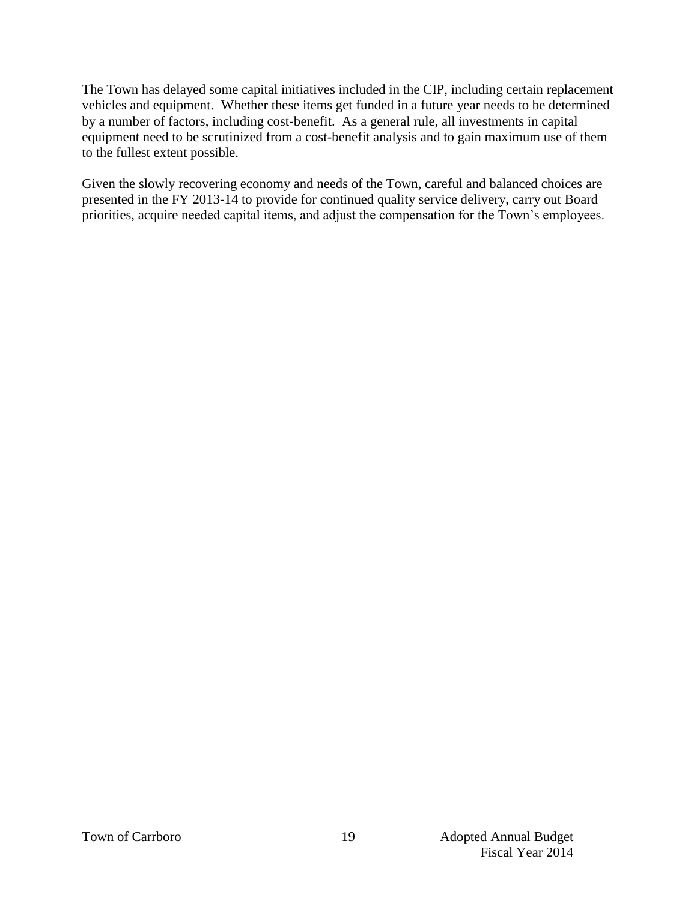The Town has delayed some capital initiatives included in the CIP, including certain replacement vehicles and equipment. Whether these items get funded in a future year needs to be determined by a number of factors, including cost-benefit. As a general rule, all investments in capital equipment need to be scrutinized from a cost-benefit analysis and to gain maximum use of them to the fullest extent possible.

Given the slowly recovering economy and needs of the Town, careful and balanced choices are presented in the FY 2013-14 to provide for continued quality service delivery, carry out Board priorities, acquire needed capital items, and adjust the compensation for the Town's employees.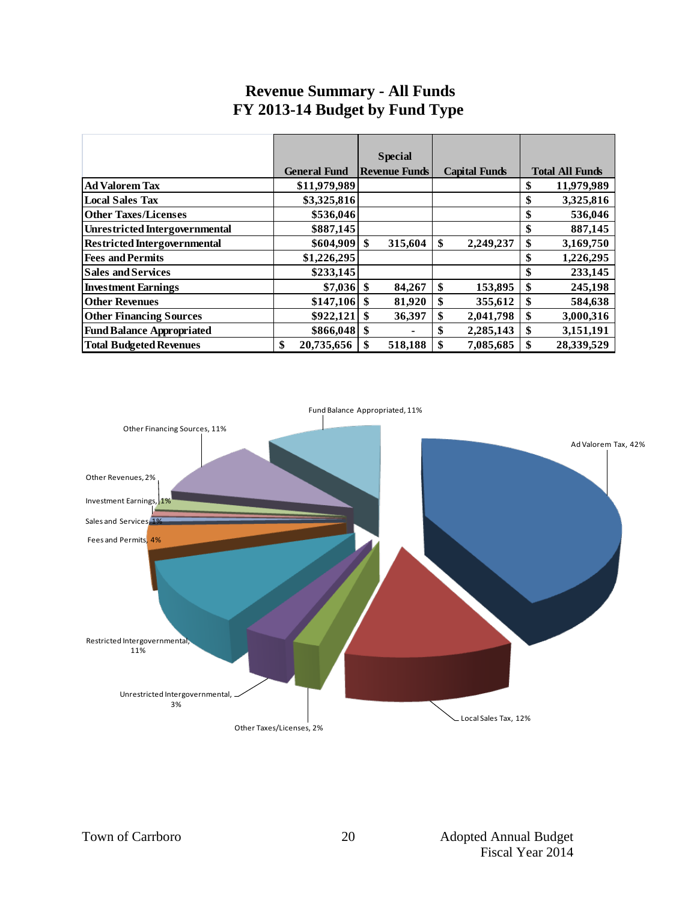# **Revenue Summary - All Funds FY 2013-14 Budget by Fund Type**

|                                       |                     | <b>Special</b>       |                      |                        |
|---------------------------------------|---------------------|----------------------|----------------------|------------------------|
|                                       | <b>General Fund</b> | <b>Revenue Funds</b> | <b>Capital Funds</b> | <b>Total All Funds</b> |
| <b>Ad Valorem Tax</b>                 | \$11,979,989        |                      |                      | 11,979,989<br>\$       |
| <b>Local Sales Tax</b>                | \$3,325,816         |                      |                      | 3,325,816<br>\$        |
| <b>Other Taxes/Licenses</b>           | \$536,046           |                      |                      | 536,046<br>\$          |
| <b>Unrestricted Intergovernmental</b> | \$887,145           |                      |                      | 887,145<br>\$          |
| <b>Restricted Intergovernmental</b>   | \$604,909           | \$<br>315,604        | \$<br>2,249,237      | 3,169,750<br>\$        |
| <b>Fees and Permits</b>               | \$1,226,295         |                      |                      | 1,226,295<br>\$        |
| <b>Sales and Services</b>             | \$233,145           |                      |                      | 233,145<br>\$          |
| <b>Investment Earnings</b>            | $$7,036 \;$ \$      | 84,267               | \$<br>153,895        | 245,198                |
| <b>Other Revenues</b>                 | \$147,106           | 81,920<br>\$         | \$<br>355,612        | 584,638                |
| <b>Other Financing Sources</b>        | \$922,121           | \$<br>36,397         | \$<br>2,041,798      | 3,000,316<br>\$.       |
| <b>Fund Balance Appropriated</b>      |                     |                      | \$<br>2,285,143      | 3,151,191              |
| <b>Total Budgeted Revenues</b>        | 20,735,656<br>\$    | 518,188<br>\$        | 7,085,685<br>\$      | 28,339,529             |

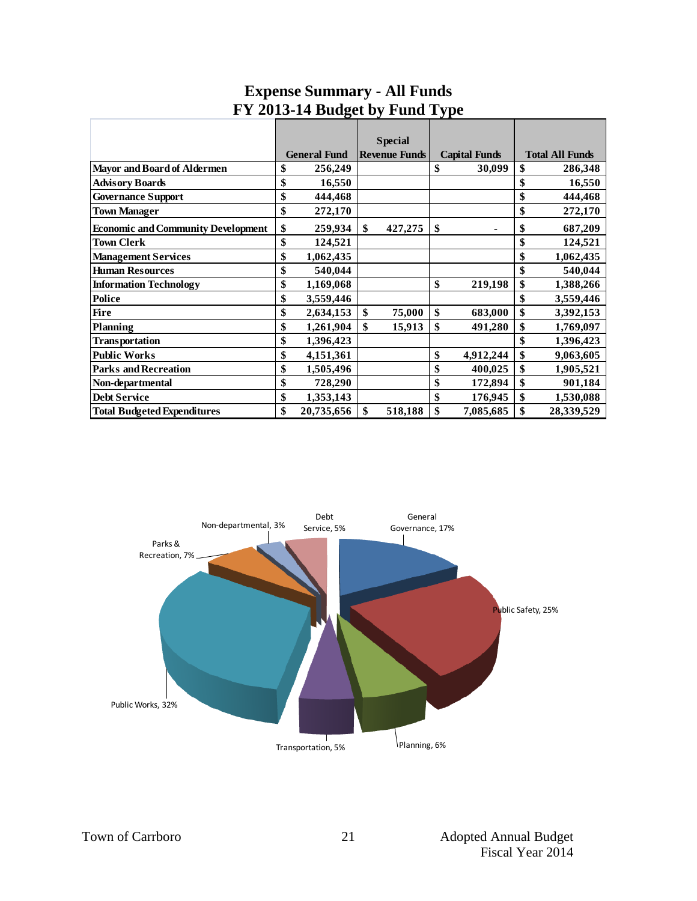|                                           |                     | <b>Special</b> |                      |                        |
|-------------------------------------------|---------------------|----------------|----------------------|------------------------|
|                                           | <b>General Fund</b> | Revenue Funds  | <b>Capital Funds</b> | <b>Total All Funds</b> |
| <b>Mayor and Board of Aldermen</b>        | \$<br>256,249       |                | \$<br>30,099         | \$<br>286,348          |
| <b>Advisory Boards</b>                    | \$<br>16,550        |                |                      | \$<br>16,550           |
| <b>Governance Support</b>                 | \$<br>444,468       |                |                      | \$<br>444,468          |
| <b>Town Manager</b>                       | \$<br>272,170       |                |                      | \$<br>272,170          |
| <b>Economic and Community Development</b> | \$<br>259,934       | \$<br>427,275  | \$                   | \$<br>687,209          |
| <b>Town Clerk</b>                         | \$<br>124,521       |                |                      | \$<br>124,521          |
| <b>Management Services</b>                | \$<br>1,062,435     |                |                      | \$<br>1,062,435        |
| <b>Human Resources</b>                    | \$<br>540,044       |                |                      | \$<br>540,044          |
| <b>Information Technology</b>             | \$<br>1,169,068     |                | \$<br>219,198        | \$<br>1,388,266        |
| Police                                    | \$<br>3,559,446     |                |                      | \$<br>3,559,446        |
| <b>Fire</b>                               | \$<br>2,634,153     | \$<br>75,000   | \$<br>683,000        | \$<br>3,392,153        |
| <b>Planning</b>                           | \$<br>1,261,904     | \$<br>15,913   | \$<br>491,280        | \$<br>1,769,097        |
| Transportation                            | \$<br>1,396,423     |                |                      | \$<br>1,396,423        |
| <b>Public Works</b>                       | \$<br>4,151,361     |                | \$<br>4,912,244      | \$<br>9,063,605        |
| <b>Parks and Recreation</b>               | \$<br>1,505,496     |                | \$<br>400,025        | \$<br>1,905,521        |
| Non-departmental                          | \$<br>728,290       |                | \$<br>172,894        | \$<br>901,184          |
| <b>Debt Service</b>                       | \$<br>1,353,143     |                | \$<br>176,945        | \$<br>1,530,088        |
| <b>Total Budgeted Expenditures</b>        | \$<br>20,735,656    | \$<br>518,188  | \$<br>7,085,685      | 28,339,529             |

# **Expense Summary - All Funds FY 2013-14 Budget by Fund Type**

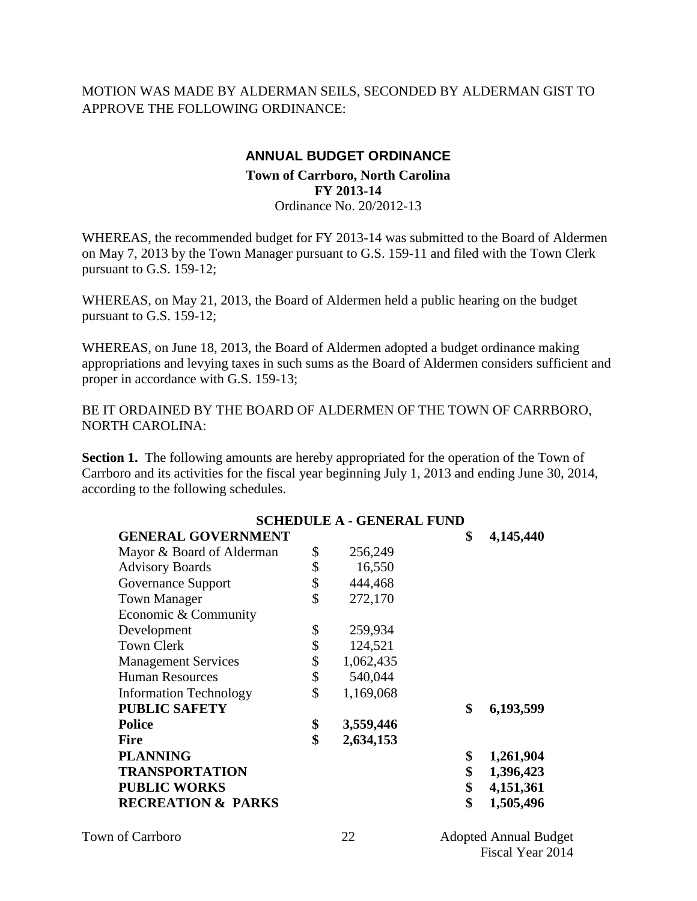MOTION WAS MADE BY ALDERMAN SEILS, SECONDED BY ALDERMAN GIST TO APPROVE THE FOLLOWING ORDINANCE:

#### **ANNUAL BUDGET ORDINANCE**

#### **Town of Carrboro, North Carolina FY 2013-14** Ordinance No. 20/2012-13

WHEREAS, the recommended budget for FY 2013-14 was submitted to the Board of Aldermen on May 7, 2013 by the Town Manager pursuant to G.S. 159-11 and filed with the Town Clerk pursuant to G.S. 159-12;

WHEREAS, on May 21, 2013, the Board of Aldermen held a public hearing on the budget pursuant to G.S. 159-12;

WHEREAS, on June 18, 2013, the Board of Aldermen adopted a budget ordinance making appropriations and levying taxes in such sums as the Board of Aldermen considers sufficient and proper in accordance with G.S. 159-13;

BE IT ORDAINED BY THE BOARD OF ALDERMEN OF THE TOWN OF CARRBORO, NORTH CAROLINA:

**Section 1.** The following amounts are hereby appropriated for the operation of the Town of Carrboro and its activities for the fiscal year beginning July 1, 2013 and ending June 30, 2014, according to the following schedules.

|                               | <b>SCHEDULE A - GENERAL FUND</b> |                 |
|-------------------------------|----------------------------------|-----------------|
| <b>GENERAL GOVERNMENT</b>     |                                  | \$<br>4,145,440 |
| Mayor & Board of Alderman     | \$<br>256,249                    |                 |
| <b>Advisory Boards</b>        | \$<br>16,550                     |                 |
| Governance Support            | \$<br>444,468                    |                 |
| <b>Town Manager</b>           | \$<br>272,170                    |                 |
| Economic & Community          |                                  |                 |
| Development                   | \$<br>259,934                    |                 |
| <b>Town Clerk</b>             | \$<br>124,521                    |                 |
| <b>Management Services</b>    | \$<br>1,062,435                  |                 |
| <b>Human Resources</b>        | \$<br>540,044                    |                 |
| <b>Information Technology</b> | \$<br>1,169,068                  |                 |
| <b>PUBLIC SAFETY</b>          |                                  | \$<br>6,193,599 |
| <b>Police</b>                 | \$<br>3,559,446                  |                 |
| <b>Fire</b>                   | \$<br>2,634,153                  |                 |
| <b>PLANNING</b>               |                                  | \$<br>1,261,904 |
| <b>TRANSPORTATION</b>         |                                  | \$<br>1,396,423 |
| <b>PUBLIC WORKS</b>           |                                  | \$<br>4,151,361 |
| <b>RECREATION &amp; PARKS</b> |                                  | \$<br>1,505,496 |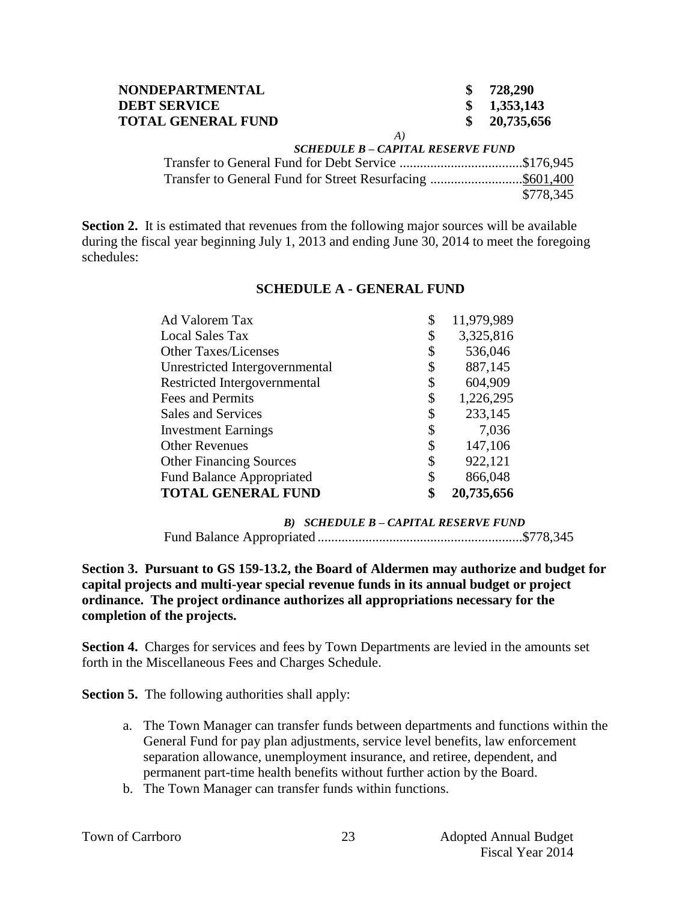| <b>NONDEPARTMENTAL</b>    |    | 728,290     |
|---------------------------|----|-------------|
| <b>DEBT SERVICE</b>       |    | \$1,353,143 |
| <b>TOTAL GENERAL FUND</b> |    | 20,735,656  |
|                           | A) |             |

#### *SCHEDULE B – CAPITAL RESERVE FUND*

Transfer to General Fund for Debt Service ....................................\$176,945 Transfer to General Fund for Street Resurfacing ...........................\$601,400 \$778,345

**Section 2.** It is estimated that revenues from the following major sources will be available during the fiscal year beginning July 1, 2013 and ending June 30, 2014 to meet the foregoing schedules:

| Ad Valorem Tax                   | \$<br>11,979,989 |
|----------------------------------|------------------|
| <b>Local Sales Tax</b>           | \$<br>3,325,816  |
| <b>Other Taxes/Licenses</b>      | \$<br>536,046    |
| Unrestricted Intergovernmental   | \$<br>887,145    |
| Restricted Intergovernmental     | \$<br>604,909    |
| Fees and Permits                 | \$<br>1,226,295  |
| Sales and Services               | \$<br>233,145    |
| <b>Investment Earnings</b>       | \$<br>7,036      |
| <b>Other Revenues</b>            | \$<br>147,106    |
| <b>Other Financing Sources</b>   | \$<br>922,121    |
| <b>Fund Balance Appropriated</b> | \$<br>866,048    |
| <b>TOTAL GENERAL FUND</b>        | 20,735,656       |

#### **SCHEDULE A - GENERAL FUND**

*B) SCHEDULE B – CAPITAL RESERVE FUND* Fund Balance Appropriated ............................................................\$778,345

#### **Section 3. Pursuant to GS 159-13.2, the Board of Aldermen may authorize and budget for capital projects and multi-year special revenue funds in its annual budget or project ordinance. The project ordinance authorizes all appropriations necessary for the completion of the projects.**

**Section 4.** Charges for services and fees by Town Departments are levied in the amounts set forth in the Miscellaneous Fees and Charges Schedule.

**Section 5.** The following authorities shall apply:

- a. The Town Manager can transfer funds between departments and functions within the General Fund for pay plan adjustments, service level benefits, law enforcement separation allowance, unemployment insurance, and retiree, dependent, and permanent part-time health benefits without further action by the Board.
- b. The Town Manager can transfer funds within functions.